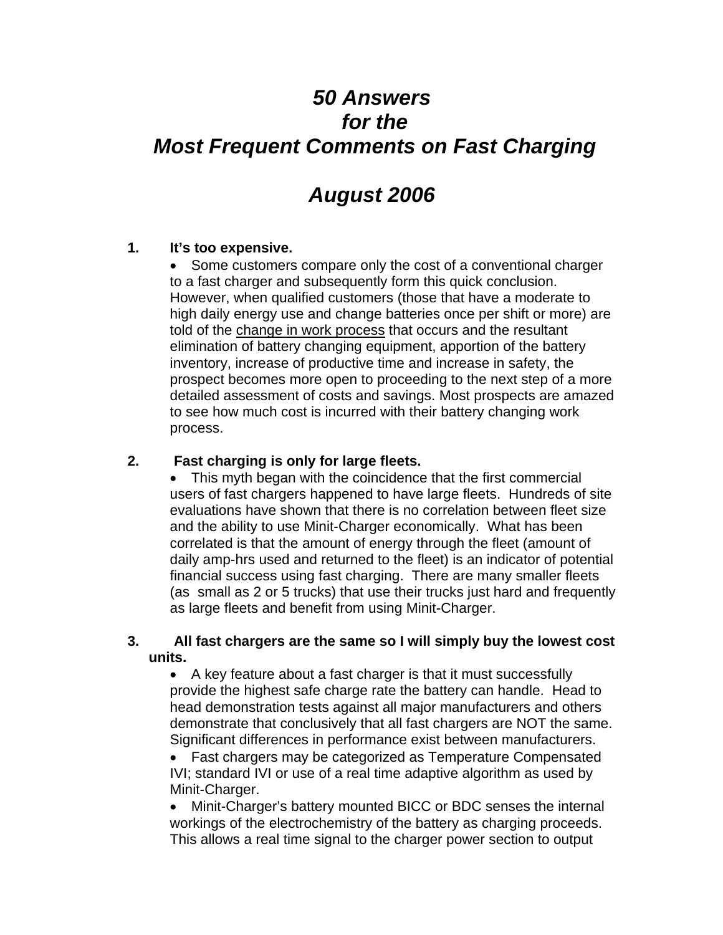# *50 Answers for the Most Frequent Comments on Fast Charging*

## *August 2006*

## **1. It's too expensive.**

• Some customers compare only the cost of a conventional charger to a fast charger and subsequently form this quick conclusion. However, when qualified customers (those that have a moderate to high daily energy use and change batteries once per shift or more) are told of the change in work process that occurs and the resultant elimination of battery changing equipment, apportion of the battery inventory, increase of productive time and increase in safety, the prospect becomes more open to proceeding to the next step of a more detailed assessment of costs and savings. Most prospects are amazed to see how much cost is incurred with their battery changing work process.

#### **2. Fast charging is only for large fleets.**

• This myth began with the coincidence that the first commercial users of fast chargers happened to have large fleets. Hundreds of site evaluations have shown that there is no correlation between fleet size and the ability to use Minit-Charger economically. What has been correlated is that the amount of energy through the fleet (amount of daily amp-hrs used and returned to the fleet) is an indicator of potential financial success using fast charging. There are many smaller fleets (as small as 2 or 5 trucks) that use their trucks just hard and frequently as large fleets and benefit from using Minit-Charger.

#### **3. All fast chargers are the same so I will simply buy the lowest cost units.**

• A key feature about a fast charger is that it must successfully provide the highest safe charge rate the battery can handle. Head to head demonstration tests against all major manufacturers and others demonstrate that conclusively that all fast chargers are NOT the same. Significant differences in performance exist between manufacturers.

• Fast chargers may be categorized as Temperature Compensated IVI; standard IVI or use of a real time adaptive algorithm as used by Minit-Charger.

• Minit-Charger's battery mounted BICC or BDC senses the internal workings of the electrochemistry of the battery as charging proceeds. This allows a real time signal to the charger power section to output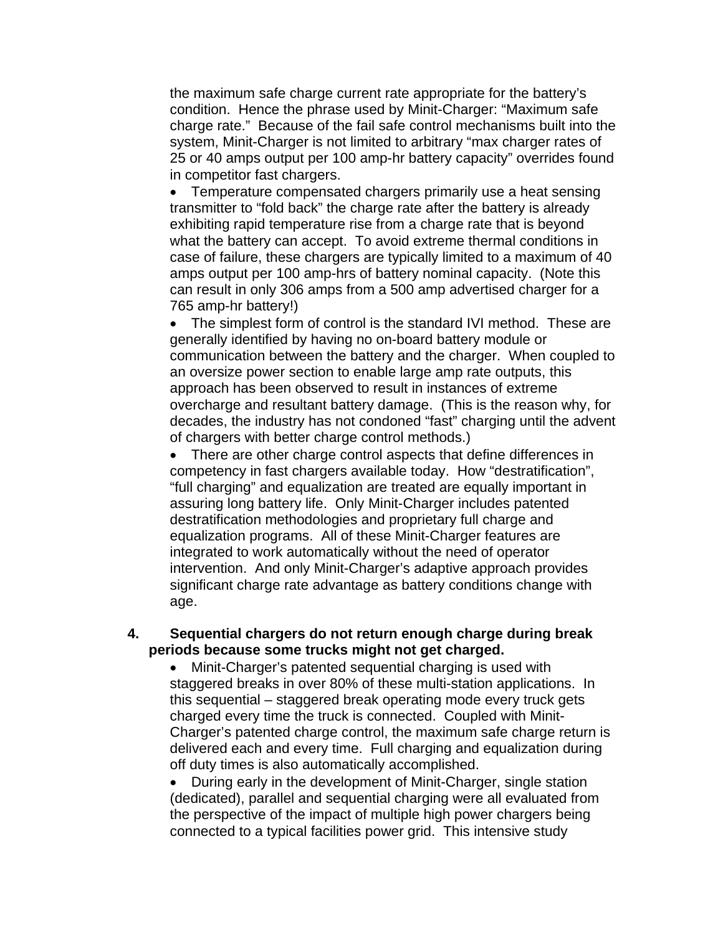the maximum safe charge current rate appropriate for the battery's condition. Hence the phrase used by Minit-Charger: "Maximum safe charge rate." Because of the fail safe control mechanisms built into the system, Minit-Charger is not limited to arbitrary "max charger rates of 25 or 40 amps output per 100 amp-hr battery capacity" overrides found in competitor fast chargers.

• Temperature compensated chargers primarily use a heat sensing transmitter to "fold back" the charge rate after the battery is already exhibiting rapid temperature rise from a charge rate that is beyond what the battery can accept. To avoid extreme thermal conditions in case of failure, these chargers are typically limited to a maximum of 40 amps output per 100 amp-hrs of battery nominal capacity. (Note this can result in only 306 amps from a 500 amp advertised charger for a 765 amp-hr battery!)

• The simplest form of control is the standard IVI method. These are generally identified by having no on-board battery module or communication between the battery and the charger. When coupled to an oversize power section to enable large amp rate outputs, this approach has been observed to result in instances of extreme overcharge and resultant battery damage. (This is the reason why, for decades, the industry has not condoned "fast" charging until the advent of chargers with better charge control methods.)

• There are other charge control aspects that define differences in competency in fast chargers available today. How "destratification", "full charging" and equalization are treated are equally important in assuring long battery life. Only Minit-Charger includes patented destratification methodologies and proprietary full charge and equalization programs. All of these Minit-Charger features are integrated to work automatically without the need of operator intervention. And only Minit-Charger's adaptive approach provides significant charge rate advantage as battery conditions change with age.

#### **4. Sequential chargers do not return enough charge during break periods because some trucks might not get charged.**

• Minit-Charger's patented sequential charging is used with staggered breaks in over 80% of these multi-station applications. In this sequential – staggered break operating mode every truck gets charged every time the truck is connected. Coupled with Minit-Charger's patented charge control, the maximum safe charge return is delivered each and every time. Full charging and equalization during off duty times is also automatically accomplished.

• During early in the development of Minit-Charger, single station (dedicated), parallel and sequential charging were all evaluated from the perspective of the impact of multiple high power chargers being connected to a typical facilities power grid. This intensive study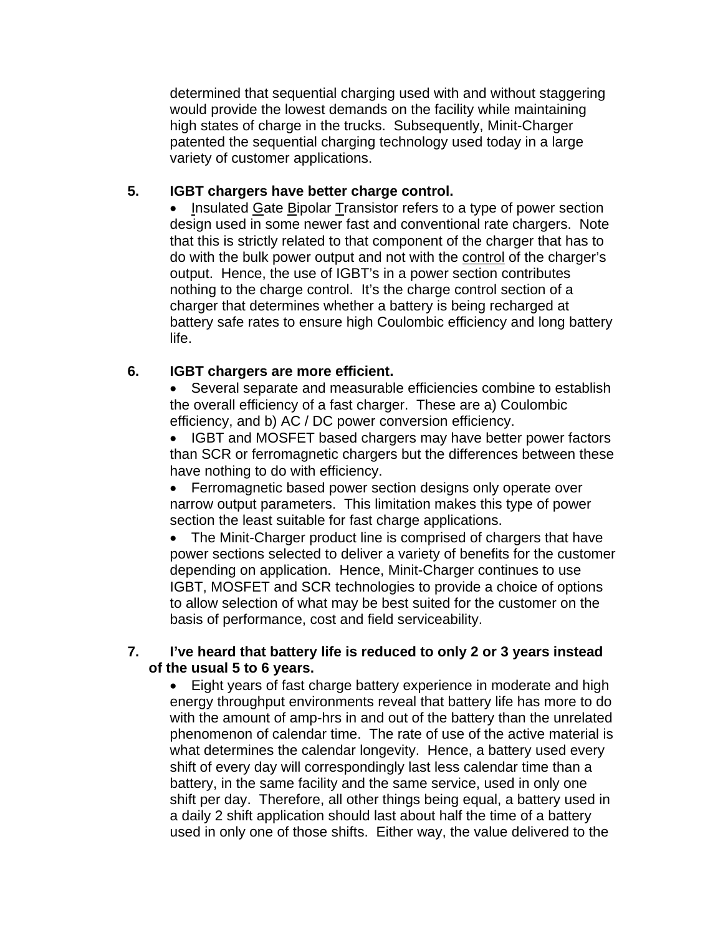determined that sequential charging used with and without staggering would provide the lowest demands on the facility while maintaining high states of charge in the trucks. Subsequently, Minit-Charger patented the sequential charging technology used today in a large variety of customer applications.

## **5. IGBT chargers have better charge control.**

• Insulated Gate Bipolar Transistor refers to a type of power section design used in some newer fast and conventional rate chargers. Note that this is strictly related to that component of the charger that has to do with the bulk power output and not with the control of the charger's output. Hence, the use of IGBT's in a power section contributes nothing to the charge control. It's the charge control section of a charger that determines whether a battery is being recharged at battery safe rates to ensure high Coulombic efficiency and long battery life.

## **6. IGBT chargers are more efficient.**

• Several separate and measurable efficiencies combine to establish the overall efficiency of a fast charger. These are a) Coulombic efficiency, and b) AC / DC power conversion efficiency.

• IGBT and MOSFET based chargers may have better power factors than SCR or ferromagnetic chargers but the differences between these have nothing to do with efficiency.

• Ferromagnetic based power section designs only operate over narrow output parameters. This limitation makes this type of power section the least suitable for fast charge applications.

• The Minit-Charger product line is comprised of chargers that have power sections selected to deliver a variety of benefits for the customer depending on application. Hence, Minit-Charger continues to use IGBT, MOSFET and SCR technologies to provide a choice of options to allow selection of what may be best suited for the customer on the basis of performance, cost and field serviceability.

## **7. I've heard that battery life is reduced to only 2 or 3 years instead of the usual 5 to 6 years.**

• Eight years of fast charge battery experience in moderate and high energy throughput environments reveal that battery life has more to do with the amount of amp-hrs in and out of the battery than the unrelated phenomenon of calendar time. The rate of use of the active material is what determines the calendar longevity. Hence, a battery used every shift of every day will correspondingly last less calendar time than a battery, in the same facility and the same service, used in only one shift per day. Therefore, all other things being equal, a battery used in a daily 2 shift application should last about half the time of a battery used in only one of those shifts. Either way, the value delivered to the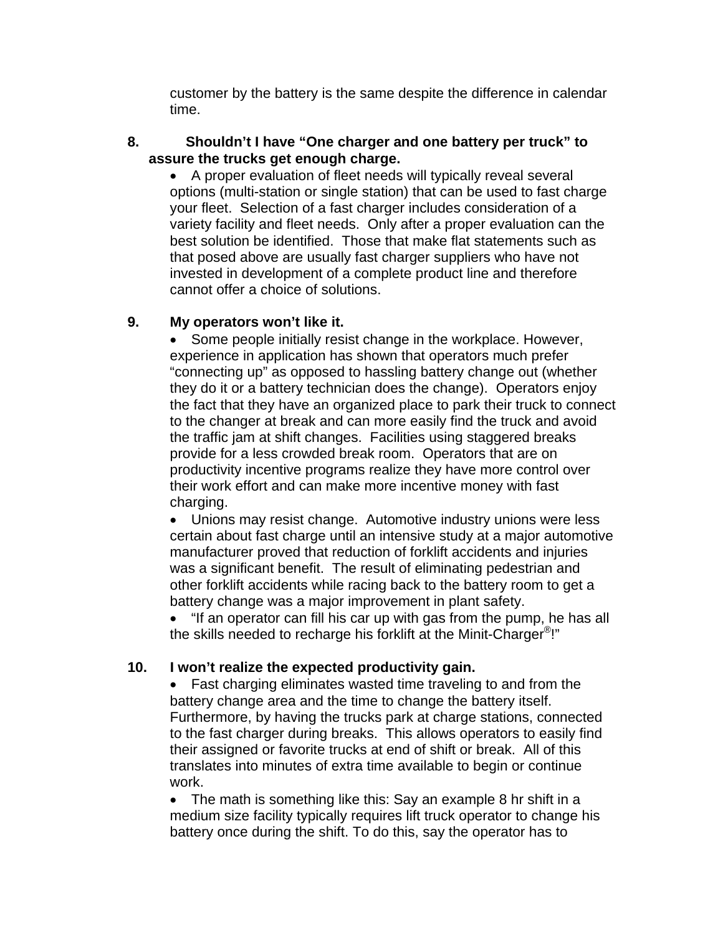customer by the battery is the same despite the difference in calendar time.

#### **8. Shouldn't I have "One charger and one battery per truck" to assure the trucks get enough charge.**

• A proper evaluation of fleet needs will typically reveal several options (multi-station or single station) that can be used to fast charge your fleet. Selection of a fast charger includes consideration of a variety facility and fleet needs. Only after a proper evaluation can the best solution be identified. Those that make flat statements such as that posed above are usually fast charger suppliers who have not invested in development of a complete product line and therefore cannot offer a choice of solutions.

## **9. My operators won't like it.**

• Some people initially resist change in the workplace. However, experience in application has shown that operators much prefer "connecting up" as opposed to hassling battery change out (whether they do it or a battery technician does the change). Operators enjoy the fact that they have an organized place to park their truck to connect to the changer at break and can more easily find the truck and avoid the traffic jam at shift changes. Facilities using staggered breaks provide for a less crowded break room. Operators that are on productivity incentive programs realize they have more control over their work effort and can make more incentive money with fast charging.

• Unions may resist change. Automotive industry unions were less certain about fast charge until an intensive study at a major automotive manufacturer proved that reduction of forklift accidents and injuries was a significant benefit. The result of eliminating pedestrian and other forklift accidents while racing back to the battery room to get a battery change was a major improvement in plant safety.

• "If an operator can fill his car up with gas from the pump, he has all the skills needed to recharge his forklift at the Minit-Charger®!"

## **10. I won't realize the expected productivity gain.**

• Fast charging eliminates wasted time traveling to and from the battery change area and the time to change the battery itself. Furthermore, by having the trucks park at charge stations, connected to the fast charger during breaks. This allows operators to easily find their assigned or favorite trucks at end of shift or break. All of this translates into minutes of extra time available to begin or continue work.

• The math is something like this: Say an example 8 hr shift in a medium size facility typically requires lift truck operator to change his battery once during the shift. To do this, say the operator has to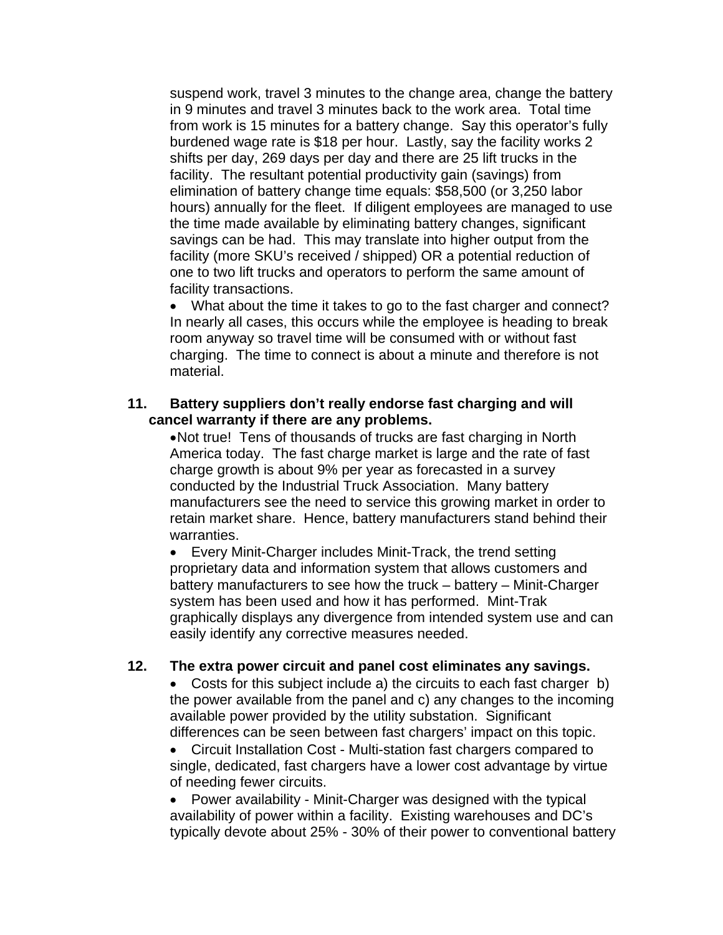suspend work, travel 3 minutes to the change area, change the battery in 9 minutes and travel 3 minutes back to the work area. Total time from work is 15 minutes for a battery change. Say this operator's fully burdened wage rate is \$18 per hour. Lastly, say the facility works 2 shifts per day, 269 days per day and there are 25 lift trucks in the facility. The resultant potential productivity gain (savings) from elimination of battery change time equals: \$58,500 (or 3,250 labor hours) annually for the fleet. If diligent employees are managed to use the time made available by eliminating battery changes, significant savings can be had. This may translate into higher output from the facility (more SKU's received / shipped) OR a potential reduction of one to two lift trucks and operators to perform the same amount of facility transactions.

• What about the time it takes to go to the fast charger and connect? In nearly all cases, this occurs while the employee is heading to break room anyway so travel time will be consumed with or without fast charging. The time to connect is about a minute and therefore is not material.

#### **11. Battery suppliers don't really endorse fast charging and will cancel warranty if there are any problems.**

• Not true! Tens of thousands of trucks are fast charging in North America today. The fast charge market is large and the rate of fast charge growth is about 9% per year as forecasted in a survey conducted by the Industrial Truck Association. Many battery manufacturers see the need to service this growing market in order to retain market share. Hence, battery manufacturers stand behind their warranties.

• Every Minit-Charger includes Minit-Track, the trend setting proprietary data and information system that allows customers and battery manufacturers to see how the truck – battery – Minit-Charger system has been used and how it has performed. Mint-Trak graphically displays any divergence from intended system use and can easily identify any corrective measures needed.

#### **12. The extra power circuit and panel cost eliminates any savings.**

• Costs for this subject include a) the circuits to each fast charger b) the power available from the panel and c) any changes to the incoming available power provided by the utility substation. Significant differences can be seen between fast chargers' impact on this topic.

• Circuit Installation Cost - Multi-station fast chargers compared to single, dedicated, fast chargers have a lower cost advantage by virtue of needing fewer circuits.

• Power availability - Minit-Charger was designed with the typical availability of power within a facility. Existing warehouses and DC's typically devote about 25% - 30% of their power to conventional battery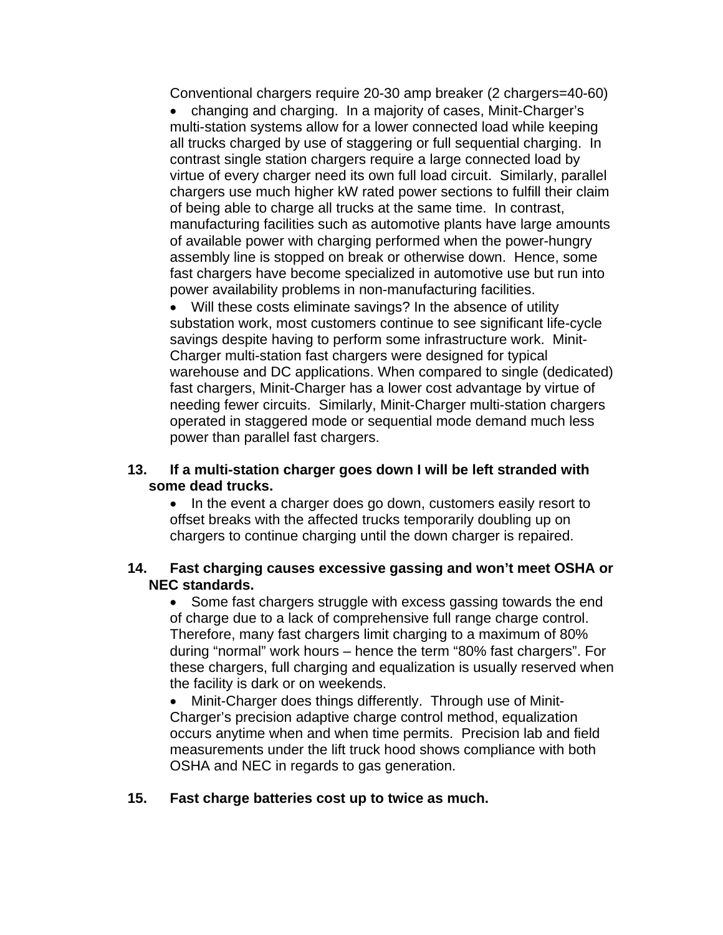Conventional chargers require 20-30 amp breaker (2 chargers=40-60)

• changing and charging. In a majority of cases, Minit-Charger's multi-station systems allow for a lower connected load while keeping all trucks charged by use of staggering or full sequential charging. In contrast single station chargers require a large connected load by virtue of every charger need its own full load circuit. Similarly, parallel chargers use much higher kW rated power sections to fulfill their claim of being able to charge all trucks at the same time. In contrast, manufacturing facilities such as automotive plants have large amounts of available power with charging performed when the power-hungry assembly line is stopped on break or otherwise down. Hence, some fast chargers have become specialized in automotive use but run into power availability problems in non-manufacturing facilities.

• Will these costs eliminate savings? In the absence of utility substation work, most customers continue to see significant life-cycle savings despite having to perform some infrastructure work. Minit-Charger multi-station fast chargers were designed for typical warehouse and DC applications. When compared to single (dedicated) fast chargers, Minit-Charger has a lower cost advantage by virtue of needing fewer circuits. Similarly, Minit-Charger multi-station chargers operated in staggered mode or sequential mode demand much less power than parallel fast chargers.

#### **13. If a multi-station charger goes down I will be left stranded with some dead trucks.**

• In the event a charger does go down, customers easily resort to offset breaks with the affected trucks temporarily doubling up on chargers to continue charging until the down charger is repaired.

#### **14. Fast charging causes excessive gassing and won't meet OSHA or NEC standards.**

• Some fast chargers struggle with excess gassing towards the end of charge due to a lack of comprehensive full range charge control. Therefore, many fast chargers limit charging to a maximum of 80% during "normal" work hours – hence the term "80% fast chargers". For these chargers, full charging and equalization is usually reserved when the facility is dark or on weekends.

• Minit-Charger does things differently. Through use of Minit-Charger's precision adaptive charge control method, equalization occurs anytime when and when time permits. Precision lab and field measurements under the lift truck hood shows compliance with both OSHA and NEC in regards to gas generation.

#### **15. Fast charge batteries cost up to twice as much.**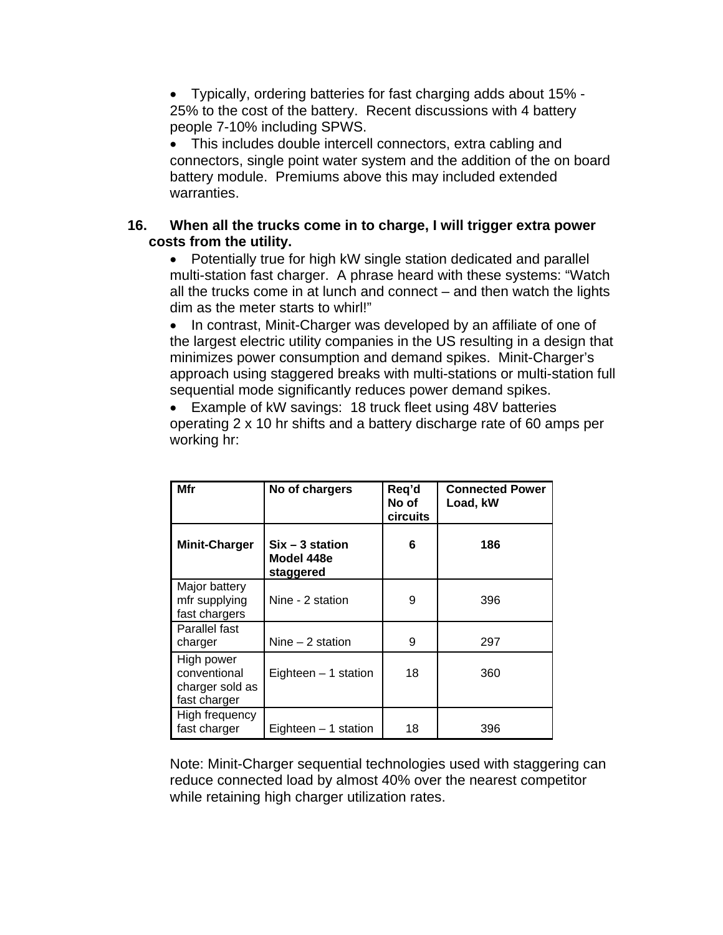• Typically, ordering batteries for fast charging adds about 15% - 25% to the cost of the battery. Recent discussions with 4 battery people 7-10% including SPWS.

• This includes double intercell connectors, extra cabling and connectors, single point water system and the addition of the on board battery module. Premiums above this may included extended warranties.

## **16. When all the trucks come in to charge, I will trigger extra power costs from the utility.**

• Potentially true for high kW single station dedicated and parallel multi-station fast charger. A phrase heard with these systems: "Watch all the trucks come in at lunch and connect – and then watch the lights dim as the meter starts to whirl!"

• In contrast, Minit-Charger was developed by an affiliate of one of the largest electric utility companies in the US resulting in a design that minimizes power consumption and demand spikes. Minit-Charger's approach using staggered breaks with multi-stations or multi-station full sequential mode significantly reduces power demand spikes.

• Example of kW savings: 18 truck fleet using 48V batteries operating 2 x 10 hr shifts and a battery discharge rate of 60 amps per working hr:

| Mfr                                                           | No of chargers                               | Req'd<br>No of<br>circuits | <b>Connected Power</b><br>Load, kW |
|---------------------------------------------------------------|----------------------------------------------|----------------------------|------------------------------------|
| <b>Minit-Charger</b>                                          | $Six - 3 station$<br>Model 448e<br>staggered | 6                          | 186                                |
| Major battery<br>mfr supplying<br>fast chargers               | Nine - 2 station                             | 9                          | 396                                |
| Parallel fast<br>charger                                      | Nine $-2$ station                            | 9                          | 297                                |
| High power<br>conventional<br>charger sold as<br>fast charger | Eighteen $-1$ station                        | 18                         | 360                                |
| High frequency<br>fast charger                                | Eighteen $-1$ station                        | 18                         | 396                                |

Note: Minit-Charger sequential technologies used with staggering can reduce connected load by almost 40% over the nearest competitor while retaining high charger utilization rates.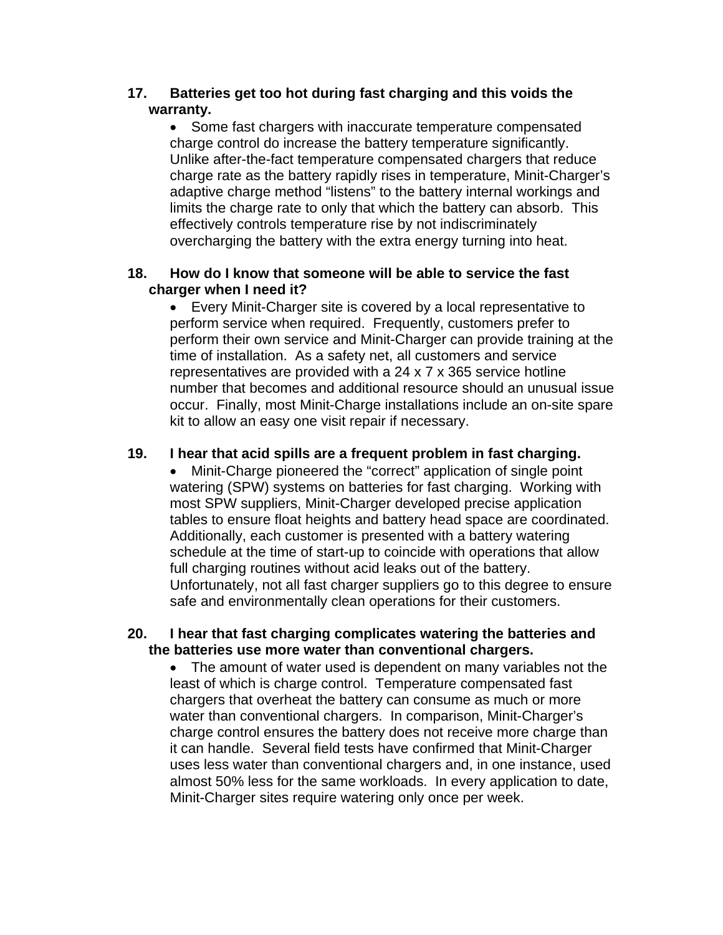## **17. Batteries get too hot during fast charging and this voids the warranty.**

• Some fast chargers with inaccurate temperature compensated charge control do increase the battery temperature significantly. Unlike after-the-fact temperature compensated chargers that reduce charge rate as the battery rapidly rises in temperature, Minit-Charger's adaptive charge method "listens" to the battery internal workings and limits the charge rate to only that which the battery can absorb. This effectively controls temperature rise by not indiscriminately overcharging the battery with the extra energy turning into heat.

## **18. How do I know that someone will be able to service the fast charger when I need it?**

• Every Minit-Charger site is covered by a local representative to perform service when required. Frequently, customers prefer to perform their own service and Minit-Charger can provide training at the time of installation. As a safety net, all customers and service representatives are provided with a 24 x 7 x 365 service hotline number that becomes and additional resource should an unusual issue occur. Finally, most Minit-Charge installations include an on-site spare kit to allow an easy one visit repair if necessary.

## **19. I hear that acid spills are a frequent problem in fast charging.**

• Minit-Charge pioneered the "correct" application of single point watering (SPW) systems on batteries for fast charging. Working with most SPW suppliers, Minit-Charger developed precise application tables to ensure float heights and battery head space are coordinated. Additionally, each customer is presented with a battery watering schedule at the time of start-up to coincide with operations that allow full charging routines without acid leaks out of the battery. Unfortunately, not all fast charger suppliers go to this degree to ensure safe and environmentally clean operations for their customers.

## **20. I hear that fast charging complicates watering the batteries and the batteries use more water than conventional chargers.**

• The amount of water used is dependent on many variables not the least of which is charge control. Temperature compensated fast chargers that overheat the battery can consume as much or more water than conventional chargers. In comparison, Minit-Charger's charge control ensures the battery does not receive more charge than it can handle. Several field tests have confirmed that Minit-Charger uses less water than conventional chargers and, in one instance, used almost 50% less for the same workloads. In every application to date, Minit-Charger sites require watering only once per week.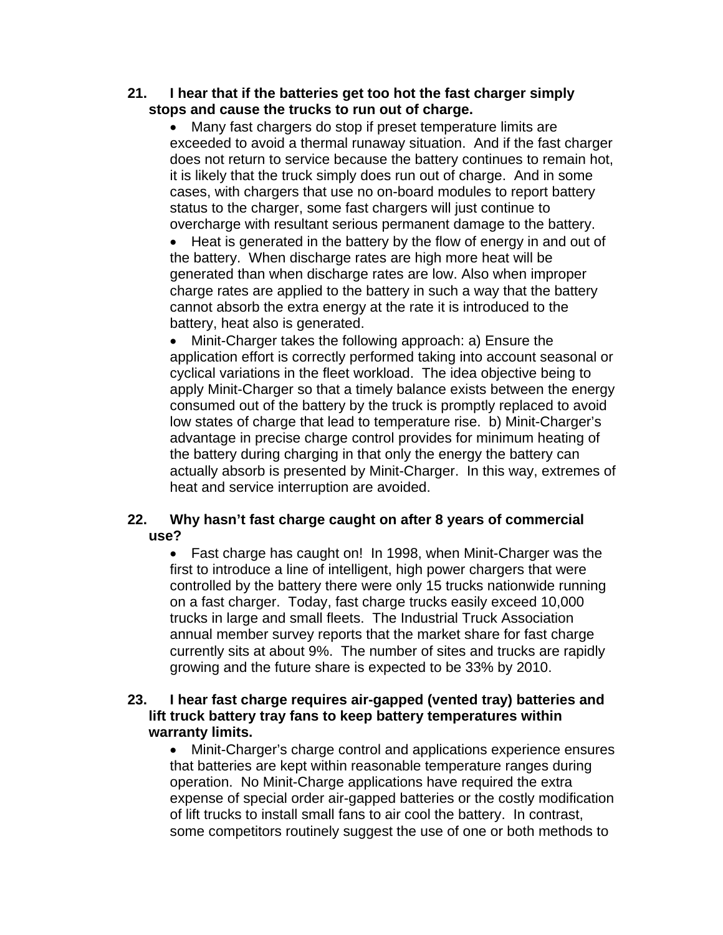#### **21. I hear that if the batteries get too hot the fast charger simply stops and cause the trucks to run out of charge.**

• Many fast chargers do stop if preset temperature limits are exceeded to avoid a thermal runaway situation. And if the fast charger does not return to service because the battery continues to remain hot, it is likely that the truck simply does run out of charge. And in some cases, with chargers that use no on-board modules to report battery status to the charger, some fast chargers will just continue to overcharge with resultant serious permanent damage to the battery.

• Heat is generated in the battery by the flow of energy in and out of the battery. When discharge rates are high more heat will be generated than when discharge rates are low. Also when improper charge rates are applied to the battery in such a way that the battery cannot absorb the extra energy at the rate it is introduced to the battery, heat also is generated.

• Minit-Charger takes the following approach: a) Ensure the application effort is correctly performed taking into account seasonal or cyclical variations in the fleet workload. The idea objective being to apply Minit-Charger so that a timely balance exists between the energy consumed out of the battery by the truck is promptly replaced to avoid low states of charge that lead to temperature rise. b) Minit-Charger's advantage in precise charge control provides for minimum heating of the battery during charging in that only the energy the battery can actually absorb is presented by Minit-Charger. In this way, extremes of heat and service interruption are avoided.

## **22. Why hasn't fast charge caught on after 8 years of commercial use?**

• Fast charge has caught on! In 1998, when Minit-Charger was the first to introduce a line of intelligent, high power chargers that were controlled by the battery there were only 15 trucks nationwide running on a fast charger. Today, fast charge trucks easily exceed 10,000 trucks in large and small fleets. The Industrial Truck Association annual member survey reports that the market share for fast charge currently sits at about 9%. The number of sites and trucks are rapidly growing and the future share is expected to be 33% by 2010.

## **23. I hear fast charge requires air-gapped (vented tray) batteries and lift truck battery tray fans to keep battery temperatures within warranty limits.**

• Minit-Charger's charge control and applications experience ensures that batteries are kept within reasonable temperature ranges during operation. No Minit-Charge applications have required the extra expense of special order air-gapped batteries or the costly modification of lift trucks to install small fans to air cool the battery. In contrast, some competitors routinely suggest the use of one or both methods to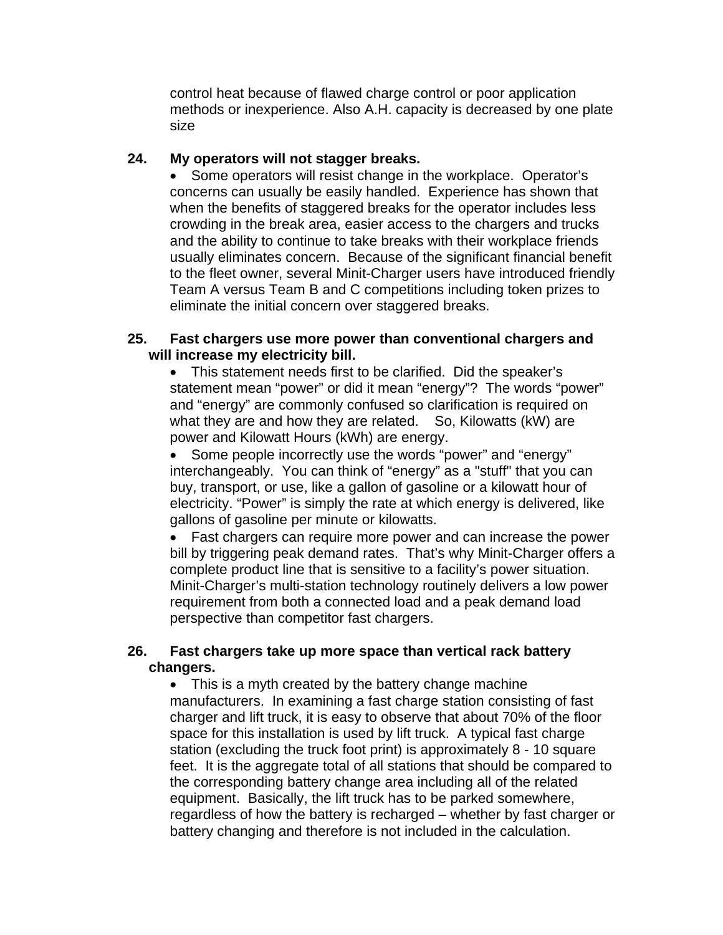control heat because of flawed charge control or poor application methods or inexperience. Also A.H. capacity is decreased by one plate size

## **24. My operators will not stagger breaks.**

• Some operators will resist change in the workplace. Operator's concerns can usually be easily handled. Experience has shown that when the benefits of staggered breaks for the operator includes less crowding in the break area, easier access to the chargers and trucks and the ability to continue to take breaks with their workplace friends usually eliminates concern. Because of the significant financial benefit to the fleet owner, several Minit-Charger users have introduced friendly Team A versus Team B and C competitions including token prizes to eliminate the initial concern over staggered breaks.

#### **25. Fast chargers use more power than conventional chargers and will increase my electricity bill.**

• This statement needs first to be clarified. Did the speaker's statement mean "power" or did it mean "energy"? The words "power" and "energy" are commonly confused so clarification is required on what they are and how they are related. So, Kilowatts (kW) are power and Kilowatt Hours (kWh) are energy.

• Some people incorrectly use the words "power" and "energy" interchangeably. You can think of "energy" as a "stuff" that you can buy, transport, or use, like a gallon of gasoline or a kilowatt hour of electricity. "Power" is simply the rate at which energy is delivered, like gallons of gasoline per minute or kilowatts.

• Fast chargers can require more power and can increase the power bill by triggering peak demand rates. That's why Minit-Charger offers a complete product line that is sensitive to a facility's power situation. Minit-Charger's multi-station technology routinely delivers a low power requirement from both a connected load and a peak demand load perspective than competitor fast chargers.

## **26. Fast chargers take up more space than vertical rack battery changers.**

• This is a myth created by the battery change machine manufacturers. In examining a fast charge station consisting of fast charger and lift truck, it is easy to observe that about 70% of the floor space for this installation is used by lift truck. A typical fast charge station (excluding the truck foot print) is approximately 8 - 10 square feet. It is the aggregate total of all stations that should be compared to the corresponding battery change area including all of the related equipment. Basically, the lift truck has to be parked somewhere, regardless of how the battery is recharged – whether by fast charger or battery changing and therefore is not included in the calculation.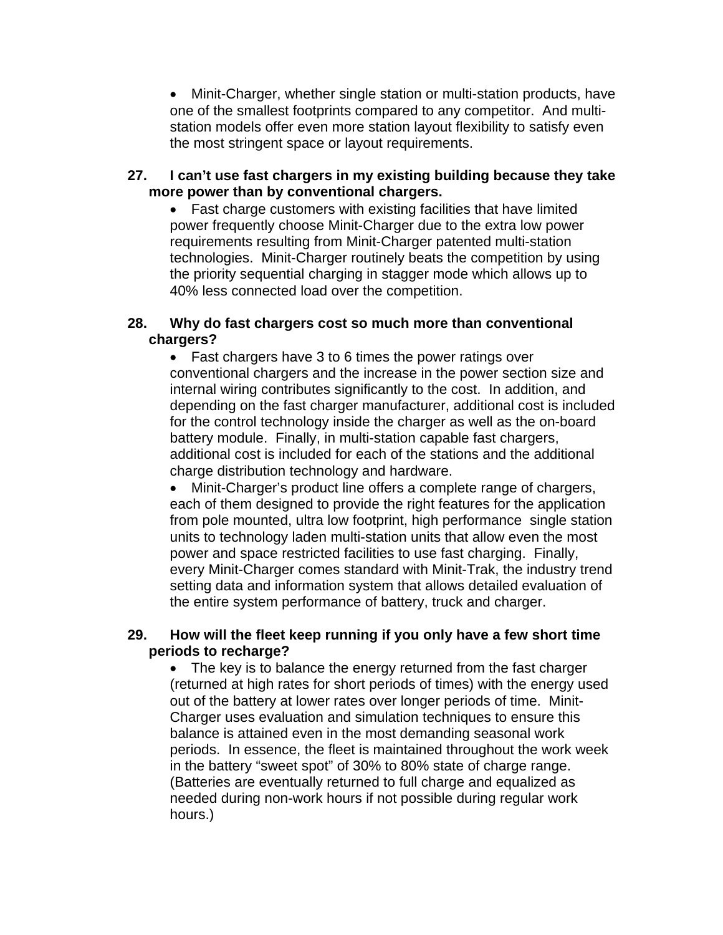• Minit-Charger, whether single station or multi-station products, have one of the smallest footprints compared to any competitor. And multistation models offer even more station layout flexibility to satisfy even the most stringent space or layout requirements.

#### **27. I can't use fast chargers in my existing building because they take more power than by conventional chargers.**

• Fast charge customers with existing facilities that have limited power frequently choose Minit-Charger due to the extra low power requirements resulting from Minit-Charger patented multi-station technologies. Minit-Charger routinely beats the competition by using the priority sequential charging in stagger mode which allows up to 40% less connected load over the competition.

#### **28. Why do fast chargers cost so much more than conventional chargers?**

• Fast chargers have 3 to 6 times the power ratings over conventional chargers and the increase in the power section size and internal wiring contributes significantly to the cost. In addition, and depending on the fast charger manufacturer, additional cost is included for the control technology inside the charger as well as the on-board battery module. Finally, in multi-station capable fast chargers, additional cost is included for each of the stations and the additional charge distribution technology and hardware.

• Minit-Charger's product line offers a complete range of chargers, each of them designed to provide the right features for the application from pole mounted, ultra low footprint, high performance single station units to technology laden multi-station units that allow even the most power and space restricted facilities to use fast charging. Finally, every Minit-Charger comes standard with Minit-Trak, the industry trend setting data and information system that allows detailed evaluation of the entire system performance of battery, truck and charger.

## **29. How will the fleet keep running if you only have a few short time periods to recharge?**

• The key is to balance the energy returned from the fast charger (returned at high rates for short periods of times) with the energy used out of the battery at lower rates over longer periods of time. Minit-Charger uses evaluation and simulation techniques to ensure this balance is attained even in the most demanding seasonal work periods. In essence, the fleet is maintained throughout the work week in the battery "sweet spot" of 30% to 80% state of charge range. (Batteries are eventually returned to full charge and equalized as needed during non-work hours if not possible during regular work hours.)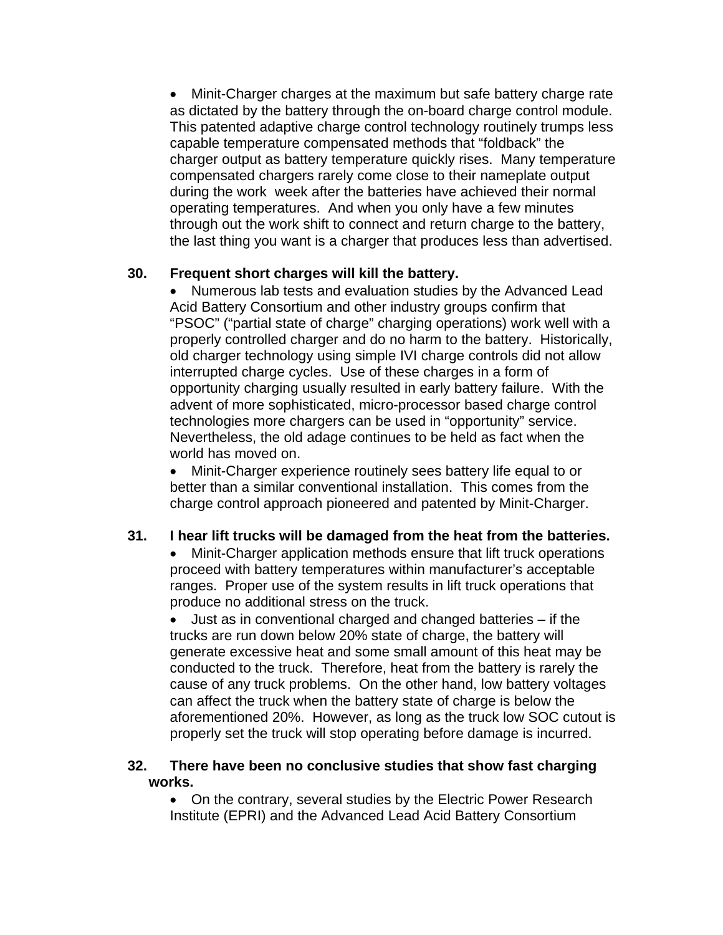• Minit-Charger charges at the maximum but safe battery charge rate as dictated by the battery through the on-board charge control module. This patented adaptive charge control technology routinely trumps less capable temperature compensated methods that "foldback" the charger output as battery temperature quickly rises. Many temperature compensated chargers rarely come close to their nameplate output during the work week after the batteries have achieved their normal operating temperatures. And when you only have a few minutes through out the work shift to connect and return charge to the battery, the last thing you want is a charger that produces less than advertised.

## **30. Frequent short charges will kill the battery.**

• Numerous lab tests and evaluation studies by the Advanced Lead Acid Battery Consortium and other industry groups confirm that "PSOC" ("partial state of charge" charging operations) work well with a properly controlled charger and do no harm to the battery. Historically, old charger technology using simple IVI charge controls did not allow interrupted charge cycles. Use of these charges in a form of opportunity charging usually resulted in early battery failure. With the advent of more sophisticated, micro-processor based charge control technologies more chargers can be used in "opportunity" service. Nevertheless, the old adage continues to be held as fact when the world has moved on.

• Minit-Charger experience routinely sees battery life equal to or better than a similar conventional installation. This comes from the charge control approach pioneered and patented by Minit-Charger.

#### **31. I hear lift trucks will be damaged from the heat from the batteries.**

• Minit-Charger application methods ensure that lift truck operations proceed with battery temperatures within manufacturer's acceptable ranges. Proper use of the system results in lift truck operations that produce no additional stress on the truck.

• Just as in conventional charged and changed batteries – if the trucks are run down below 20% state of charge, the battery will generate excessive heat and some small amount of this heat may be conducted to the truck. Therefore, heat from the battery is rarely the cause of any truck problems. On the other hand, low battery voltages can affect the truck when the battery state of charge is below the aforementioned 20%. However, as long as the truck low SOC cutout is properly set the truck will stop operating before damage is incurred.

#### **32. There have been no conclusive studies that show fast charging works.**

• On the contrary, several studies by the Electric Power Research Institute (EPRI) and the Advanced Lead Acid Battery Consortium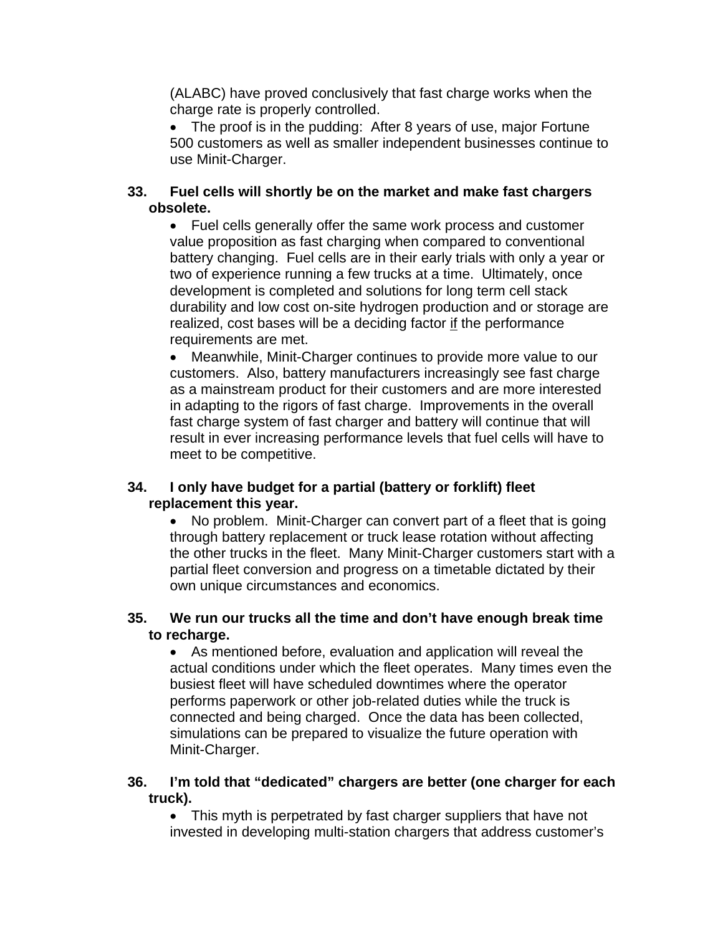(ALABC) have proved conclusively that fast charge works when the charge rate is properly controlled.

• The proof is in the pudding: After 8 years of use, major Fortune 500 customers as well as smaller independent businesses continue to use Minit-Charger.

## **33. Fuel cells will shortly be on the market and make fast chargers obsolete.**

• Fuel cells generally offer the same work process and customer value proposition as fast charging when compared to conventional battery changing. Fuel cells are in their early trials with only a year or two of experience running a few trucks at a time. Ultimately, once development is completed and solutions for long term cell stack durability and low cost on-site hydrogen production and or storage are realized, cost bases will be a deciding factor if the performance requirements are met.

• Meanwhile, Minit-Charger continues to provide more value to our customers. Also, battery manufacturers increasingly see fast charge as a mainstream product for their customers and are more interested in adapting to the rigors of fast charge. Improvements in the overall fast charge system of fast charger and battery will continue that will result in ever increasing performance levels that fuel cells will have to meet to be competitive.

#### **34. I only have budget for a partial (battery or forklift) fleet replacement this year.**

• No problem. Minit-Charger can convert part of a fleet that is going through battery replacement or truck lease rotation without affecting the other trucks in the fleet. Many Minit-Charger customers start with a partial fleet conversion and progress on a timetable dictated by their own unique circumstances and economics.

#### **35. We run our trucks all the time and don't have enough break time to recharge.**

• As mentioned before, evaluation and application will reveal the actual conditions under which the fleet operates. Many times even the busiest fleet will have scheduled downtimes where the operator performs paperwork or other job-related duties while the truck is connected and being charged. Once the data has been collected, simulations can be prepared to visualize the future operation with Minit-Charger.

#### **36. I'm told that "dedicated" chargers are better (one charger for each truck).**

• This myth is perpetrated by fast charger suppliers that have not invested in developing multi-station chargers that address customer's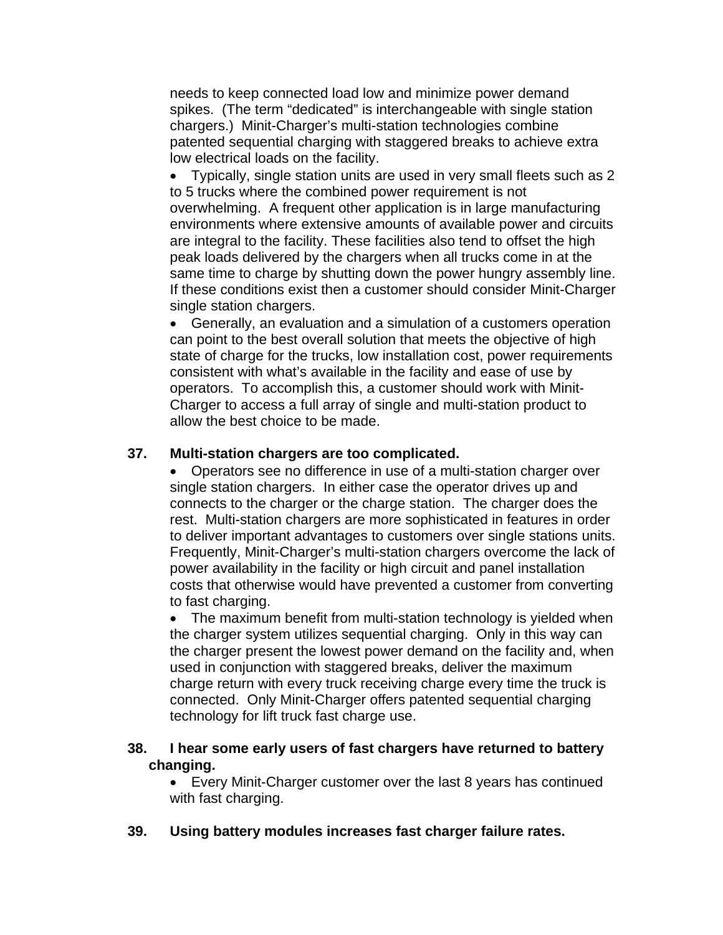needs to keep connected load low and minimize power demand spikes. (The term "dedicated" is interchangeable with single station chargers.) Minit-Charger's multi-station technologies combine patented sequential charging with staggered breaks to achieve extra low electrical loads on the facility.

• Typically, single station units are used in very small fleets such as 2 to 5 trucks where the combined power requirement is not overwhelming. A frequent other application is in large manufacturing environments where extensive amounts of available power and circuits are integral to the facility. These facilities also tend to offset the high peak loads delivered by the chargers when all trucks come in at the same time to charge by shutting down the power hungry assembly line. If these conditions exist then a customer should consider Minit-Charger single station chargers.

• Generally, an evaluation and a simulation of a customers operation can point to the best overall solution that meets the objective of high state of charge for the trucks, low installation cost, power requirements consistent with what's available in the facility and ease of use by operators. To accomplish this, a customer should work with Minit-Charger to access a full array of single and multi-station product to allow the best choice to be made.

## **37. Multi-station chargers are too complicated.**

• Operators see no difference in use of a multi-station charger over single station chargers. In either case the operator drives up and connects to the charger or the charge station. The charger does the rest. Multi-station chargers are more sophisticated in features in order to deliver important advantages to customers over single stations units. Frequently, Minit-Charger's multi-station chargers overcome the lack of power availability in the facility or high circuit and panel installation costs that otherwise would have prevented a customer from converting to fast charging.

• The maximum benefit from multi-station technology is yielded when the charger system utilizes sequential charging. Only in this way can the charger present the lowest power demand on the facility and, when used in conjunction with staggered breaks, deliver the maximum charge return with every truck receiving charge every time the truck is connected. Only Minit-Charger offers patented sequential charging technology for lift truck fast charge use.

#### **38. I hear some early users of fast chargers have returned to battery changing.**

• Every Minit-Charger customer over the last 8 years has continued with fast charging.

**39. Using battery modules increases fast charger failure rates.**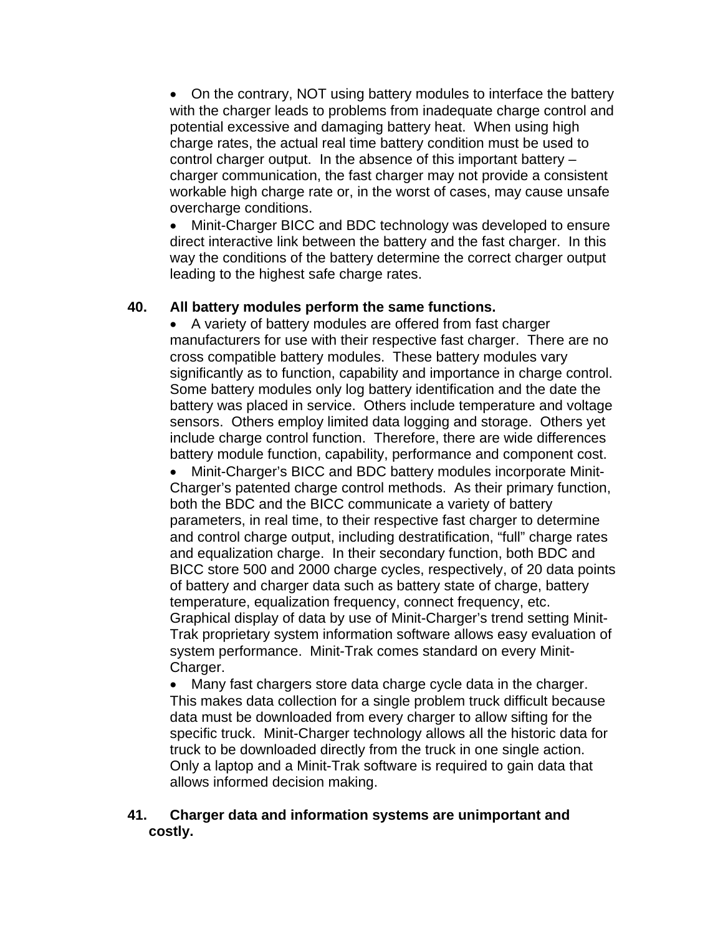• On the contrary, NOT using battery modules to interface the battery with the charger leads to problems from inadequate charge control and potential excessive and damaging battery heat. When using high charge rates, the actual real time battery condition must be used to control charger output. In the absence of this important battery – charger communication, the fast charger may not provide a consistent workable high charge rate or, in the worst of cases, may cause unsafe overcharge conditions.

• Minit-Charger BICC and BDC technology was developed to ensure direct interactive link between the battery and the fast charger. In this way the conditions of the battery determine the correct charger output leading to the highest safe charge rates.

## **40. All battery modules perform the same functions.**

• A variety of battery modules are offered from fast charger manufacturers for use with their respective fast charger. There are no cross compatible battery modules. These battery modules vary significantly as to function, capability and importance in charge control. Some battery modules only log battery identification and the date the battery was placed in service. Others include temperature and voltage sensors. Others employ limited data logging and storage. Others yet include charge control function. Therefore, there are wide differences battery module function, capability, performance and component cost.

• Minit-Charger's BICC and BDC battery modules incorporate Minit-Charger's patented charge control methods. As their primary function, both the BDC and the BICC communicate a variety of battery parameters, in real time, to their respective fast charger to determine and control charge output, including destratification, "full" charge rates and equalization charge. In their secondary function, both BDC and BICC store 500 and 2000 charge cycles, respectively, of 20 data points of battery and charger data such as battery state of charge, battery temperature, equalization frequency, connect frequency, etc. Graphical display of data by use of Minit-Charger's trend setting Minit-Trak proprietary system information software allows easy evaluation of system performance. Minit-Trak comes standard on every Minit-Charger.

• Many fast chargers store data charge cycle data in the charger. This makes data collection for a single problem truck difficult because data must be downloaded from every charger to allow sifting for the specific truck. Minit-Charger technology allows all the historic data for truck to be downloaded directly from the truck in one single action. Only a laptop and a Minit-Trak software is required to gain data that allows informed decision making.

#### **41. Charger data and information systems are unimportant and costly.**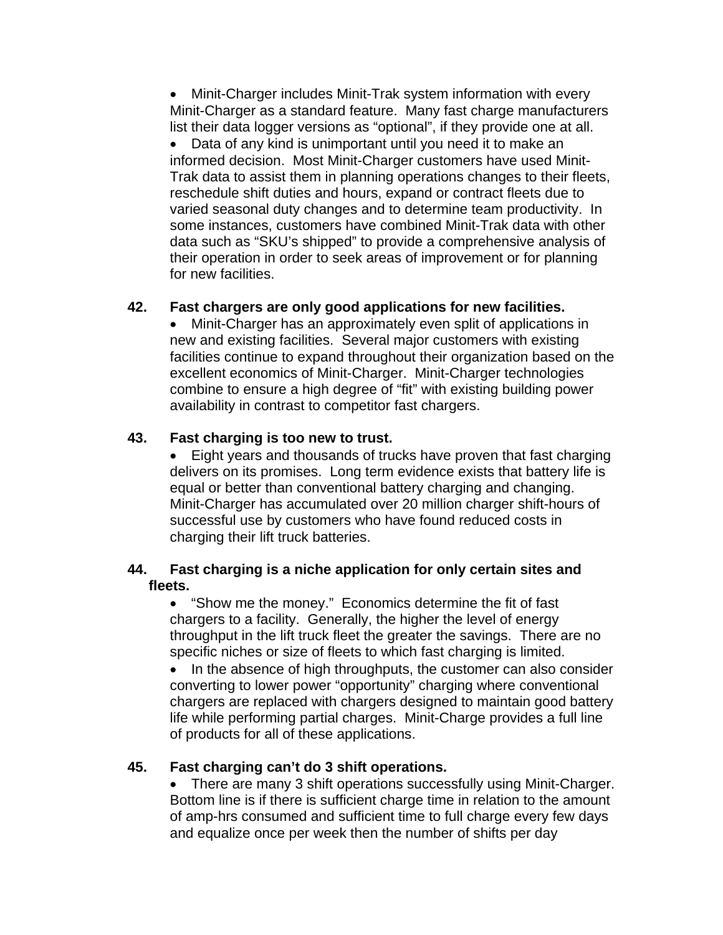• Minit-Charger includes Minit-Trak system information with every Minit-Charger as a standard feature. Many fast charge manufacturers list their data logger versions as "optional", if they provide one at all.

• Data of any kind is unimportant until you need it to make an informed decision. Most Minit-Charger customers have used Minit-Trak data to assist them in planning operations changes to their fleets, reschedule shift duties and hours, expand or contract fleets due to varied seasonal duty changes and to determine team productivity. In some instances, customers have combined Minit-Trak data with other data such as "SKU's shipped" to provide a comprehensive analysis of their operation in order to seek areas of improvement or for planning for new facilities.

## **42. Fast chargers are only good applications for new facilities.**

• Minit-Charger has an approximately even split of applications in new and existing facilities. Several major customers with existing facilities continue to expand throughout their organization based on the excellent economics of Minit-Charger. Minit-Charger technologies combine to ensure a high degree of "fit" with existing building power availability in contrast to competitor fast chargers.

## **43. Fast charging is too new to trust.**

• Eight years and thousands of trucks have proven that fast charging delivers on its promises. Long term evidence exists that battery life is equal or better than conventional battery charging and changing. Minit-Charger has accumulated over 20 million charger shift-hours of successful use by customers who have found reduced costs in charging their lift truck batteries.

## **44. Fast charging is a niche application for only certain sites and fleets.**

• "Show me the money." Economics determine the fit of fast chargers to a facility. Generally, the higher the level of energy throughput in the lift truck fleet the greater the savings. There are no specific niches or size of fleets to which fast charging is limited.

• In the absence of high throughputs, the customer can also consider converting to lower power "opportunity" charging where conventional chargers are replaced with chargers designed to maintain good battery life while performing partial charges. Minit-Charge provides a full line of products for all of these applications.

## **45. Fast charging can't do 3 shift operations.**

• There are many 3 shift operations successfully using Minit-Charger. Bottom line is if there is sufficient charge time in relation to the amount of amp-hrs consumed and sufficient time to full charge every few days and equalize once per week then the number of shifts per day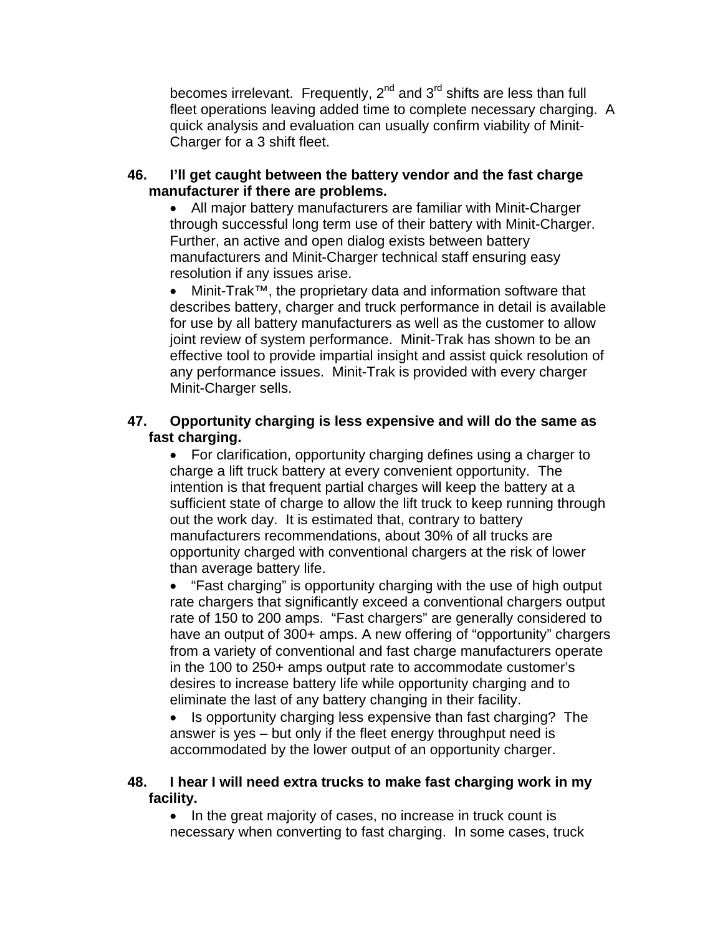becomes irrelevant. Frequently,  $2^{nd}$  and  $3^{rd}$  shifts are less than full fleet operations leaving added time to complete necessary charging. A quick analysis and evaluation can usually confirm viability of Minit-Charger for a 3 shift fleet.

#### **46. I'll get caught between the battery vendor and the fast charge manufacturer if there are problems.**

• All major battery manufacturers are familiar with Minit-Charger through successful long term use of their battery with Minit-Charger. Further, an active and open dialog exists between battery manufacturers and Minit-Charger technical staff ensuring easy resolution if any issues arise.

• Minit-Trak™, the proprietary data and information software that describes battery, charger and truck performance in detail is available for use by all battery manufacturers as well as the customer to allow joint review of system performance. Minit-Trak has shown to be an effective tool to provide impartial insight and assist quick resolution of any performance issues. Minit-Trak is provided with every charger Minit-Charger sells.

## **47. Opportunity charging is less expensive and will do the same as fast charging.**

• For clarification, opportunity charging defines using a charger to charge a lift truck battery at every convenient opportunity. The intention is that frequent partial charges will keep the battery at a sufficient state of charge to allow the lift truck to keep running through out the work day. It is estimated that, contrary to battery manufacturers recommendations, about 30% of all trucks are opportunity charged with conventional chargers at the risk of lower than average battery life.

• "Fast charging" is opportunity charging with the use of high output rate chargers that significantly exceed a conventional chargers output rate of 150 to 200 amps. "Fast chargers" are generally considered to have an output of 300+ amps. A new offering of "opportunity" chargers from a variety of conventional and fast charge manufacturers operate in the 100 to 250+ amps output rate to accommodate customer's desires to increase battery life while opportunity charging and to eliminate the last of any battery changing in their facility.

• Is opportunity charging less expensive than fast charging? The answer is yes – but only if the fleet energy throughput need is accommodated by the lower output of an opportunity charger.

#### **48. I hear I will need extra trucks to make fast charging work in my facility.**

• In the great majority of cases, no increase in truck count is necessary when converting to fast charging. In some cases, truck